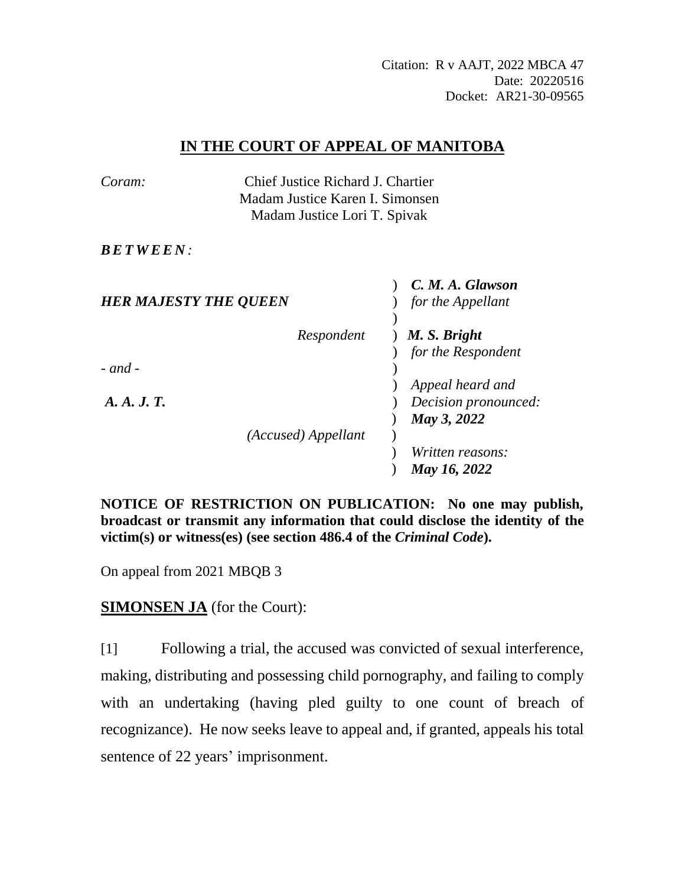Citation: R v AAJT, 2022 MBCA 47 Date: 20220516 Docket: AR21-30-09565

## **IN THE COURT OF APPEAL OF MANITOBA**

| Coram:                       | Chief Justice Richard J. Chartier |                      |
|------------------------------|-----------------------------------|----------------------|
|                              | Madam Justice Karen I. Simonsen   |                      |
|                              | Madam Justice Lori T. Spivak      |                      |
|                              |                                   |                      |
| <b>BETWEEN:</b>              |                                   |                      |
|                              |                                   | C. M. A. Glawson     |
| <b>HER MAJESTY THE QUEEN</b> |                                   | for the Appellant    |
|                              |                                   |                      |
|                              | Respondent                        | M. S. Bright         |
|                              |                                   | for the Respondent   |
| $-$ and $-$                  |                                   |                      |
|                              |                                   | Appeal heard and     |
| A. A. J. T.                  |                                   | Decision pronounced: |
|                              |                                   | May 3, 2022          |
|                              | (Accused) Appellant               |                      |
|                              |                                   | Written reasons:     |
|                              |                                   | May 16, 2022         |

**NOTICE OF RESTRICTION ON PUBLICATION: No one may publish, broadcast or transmit any information that could disclose the identity of the victim(s) or witness(es) (see section 486.4 of the** *Criminal Code***).**

On appeal from 2021 MBQB 3

**SIMONSEN JA** (for the Court):

[1] Following a trial, the accused was convicted of sexual interference, making, distributing and possessing child pornography, and failing to comply with an undertaking (having pled guilty to one count of breach of recognizance). He now seeks leave to appeal and, if granted, appeals his total sentence of 22 years' imprisonment.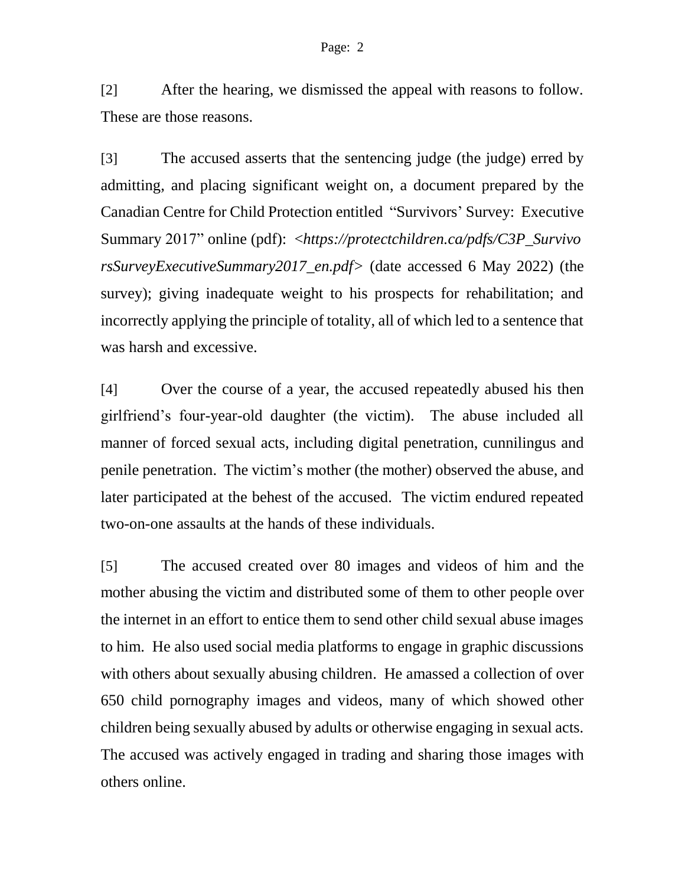[2] After the hearing, we dismissed the appeal with reasons to follow. These are those reasons.

[3] The accused asserts that the sentencing judge (the judge) erred by admitting, and placing significant weight on, a document prepared by the Canadian Centre for Child Protection entitled "Survivors' Survey: Executive Summary 2017" online (pdf): <*https://protectchildren.ca/pdfs/C3P\_Survivo rsSurveyExecutiveSummary2017\_en.pdf>* (date accessed 6 May 2022) (the survey); giving inadequate weight to his prospects for rehabilitation; and incorrectly applying the principle of totality, all of which led to a sentence that was harsh and excessive.

[4] Over the course of a year, the accused repeatedly abused his then girlfriend's four-year-old daughter (the victim). The abuse included all manner of forced sexual acts, including digital penetration, cunnilingus and penile penetration. The victim's mother (the mother) observed the abuse, and later participated at the behest of the accused. The victim endured repeated two-on-one assaults at the hands of these individuals.

[5] The accused created over 80 images and videos of him and the mother abusing the victim and distributed some of them to other people over the internet in an effort to entice them to send other child sexual abuse images to him. He also used social media platforms to engage in graphic discussions with others about sexually abusing children. He amassed a collection of over 650 child pornography images and videos, many of which showed other children being sexually abused by adults or otherwise engaging in sexual acts. The accused was actively engaged in trading and sharing those images with others online.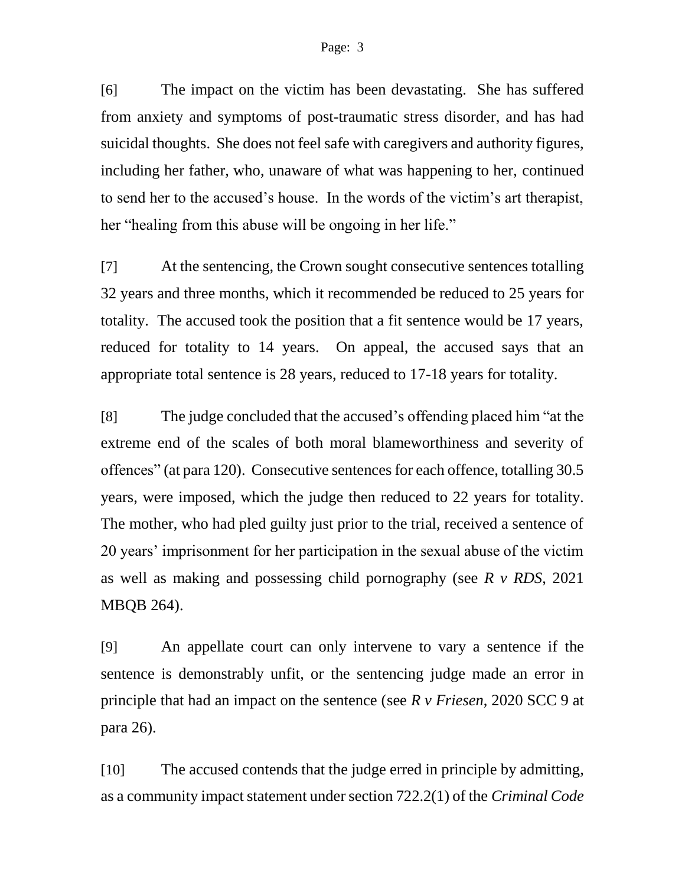[6] The impact on the victim has been devastating. She has suffered from anxiety and symptoms of post-traumatic stress disorder, and has had suicidal thoughts. She does not feel safe with caregivers and authority figures, including her father, who, unaware of what was happening to her, continued to send her to the accused's house. In the words of the victim's art therapist, her "healing from this abuse will be ongoing in her life."

[7] At the sentencing, the Crown sought consecutive sentences totalling 32 years and three months, which it recommended be reduced to 25 years for totality. The accused took the position that a fit sentence would be 17 years, reduced for totality to 14 years. On appeal, the accused says that an appropriate total sentence is 28 years, reduced to 17-18 years for totality.

[8] The judge concluded that the accused's offending placed him "at the extreme end of the scales of both moral blameworthiness and severity of offences" (at para 120). Consecutive sentences for each offence, totalling 30.5 years, were imposed, which the judge then reduced to 22 years for totality. The mother, who had pled guilty just prior to the trial, received a sentence of 20 years' imprisonment for her participation in the sexual abuse of the victim as well as making and possessing child pornography (see *R v RDS*, 2021 MBQB 264).

[9] An appellate court can only intervene to vary a sentence if the sentence is demonstrably unfit, or the sentencing judge made an error in principle that had an impact on the sentence (see *R v Friesen*, 2020 SCC 9 at para 26).

[10] The accused contends that the judge erred in principle by admitting, as a community impact statement under section 722.2(1) of the *Criminal Code*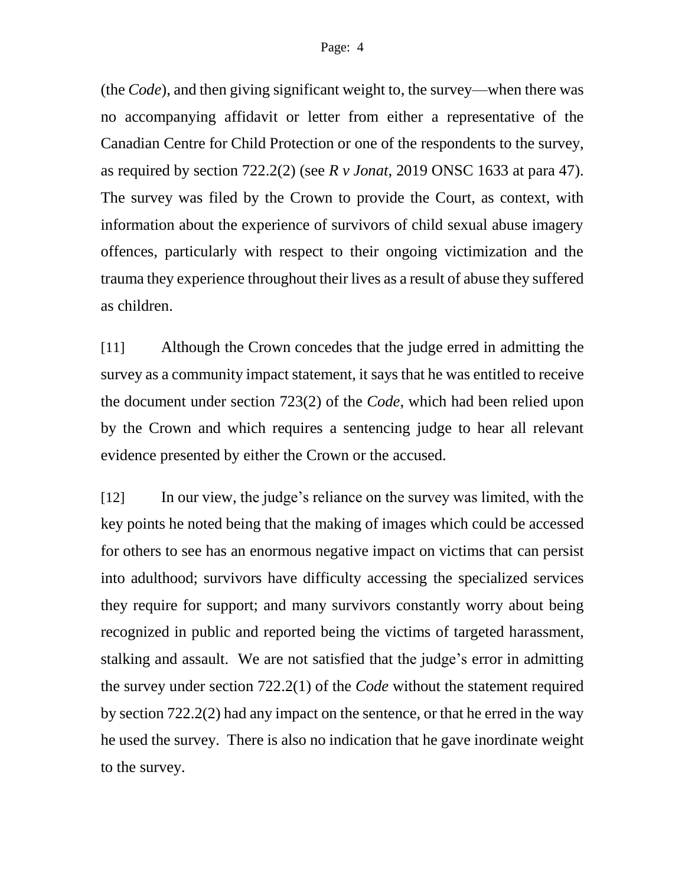(the *Code*), and then giving significant weight to, the survey—when there was no accompanying affidavit or letter from either a representative of the Canadian Centre for Child Protection or one of the respondents to the survey, as required by section 722.2(2) (see *R v Jonat*, 2019 ONSC 1633 at para 47). The survey was filed by the Crown to provide the Court, as context, with information about the experience of survivors of child sexual abuse imagery offences, particularly with respect to their ongoing victimization and the trauma they experience throughout their lives as a result of abuse they suffered as children.

[11] Although the Crown concedes that the judge erred in admitting the survey as a community impact statement, it says that he was entitled to receive the document under section 723(2) of the *Code*, which had been relied upon by the Crown and which requires a sentencing judge to hear all relevant evidence presented by either the Crown or the accused.

[12] In our view, the judge's reliance on the survey was limited, with the key points he noted being that the making of images which could be accessed for others to see has an enormous negative impact on victims that can persist into adulthood; survivors have difficulty accessing the specialized services they require for support; and many survivors constantly worry about being recognized in public and reported being the victims of targeted harassment, stalking and assault. We are not satisfied that the judge's error in admitting the survey under section 722.2(1) of the *Code* without the statement required by section 722.2(2) had any impact on the sentence, or that he erred in the way he used the survey. There is also no indication that he gave inordinate weight to the survey.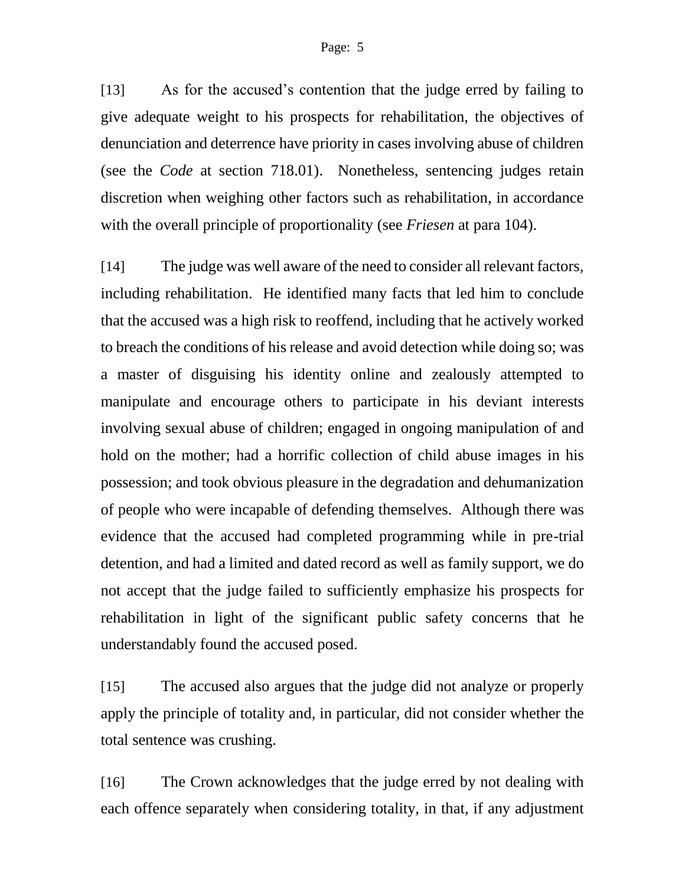[13] As for the accused's contention that the judge erred by failing to give adequate weight to his prospects for rehabilitation, the objectives of denunciation and deterrence have priority in cases involving abuse of children (see the *Code* at section 718.01). Nonetheless, sentencing judges retain discretion when weighing other factors such as rehabilitation, in accordance with the overall principle of proportionality (see *Friesen* at para 104).

[14] The judge was well aware of the need to consider all relevant factors, including rehabilitation. He identified many facts that led him to conclude that the accused was a high risk to reoffend, including that he actively worked to breach the conditions of his release and avoid detection while doing so; was a master of disguising his identity online and zealously attempted to manipulate and encourage others to participate in his deviant interests involving sexual abuse of children; engaged in ongoing manipulation of and hold on the mother; had a horrific collection of child abuse images in his possession; and took obvious pleasure in the degradation and dehumanization of people who were incapable of defending themselves. Although there was evidence that the accused had completed programming while in pre-trial detention, and had a limited and dated record as well as family support, we do not accept that the judge failed to sufficiently emphasize his prospects for rehabilitation in light of the significant public safety concerns that he understandably found the accused posed.

[15] The accused also argues that the judge did not analyze or properly apply the principle of totality and, in particular, did not consider whether the total sentence was crushing.

[16] The Crown acknowledges that the judge erred by not dealing with each offence separately when considering totality, in that, if any adjustment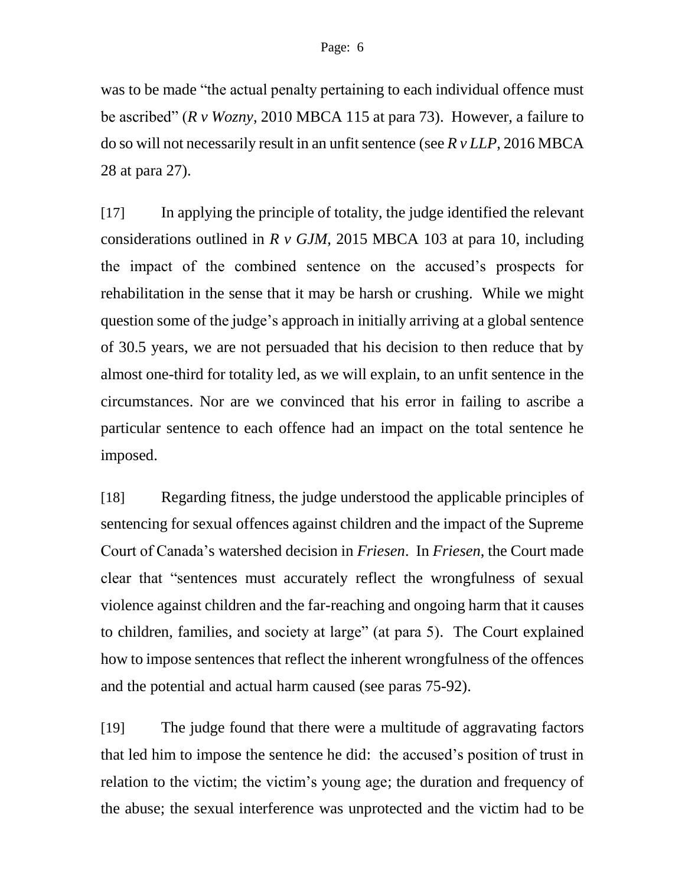was to be made "the actual penalty pertaining to each individual offence must be ascribed" (*R v Wozny*, 2010 MBCA 115 at para 73). However, a failure to do so will not necessarily result in an unfit sentence (see *R v LLP*, 2016 MBCA 28 at para 27).

[17] In applying the principle of totality, the judge identified the relevant considerations outlined in *R v GJM*, 2015 MBCA 103 at para 10, including the impact of the combined sentence on the accused's prospects for rehabilitation in the sense that it may be harsh or crushing. While we might question some of the judge's approach in initially arriving at a global sentence of 30.5 years, we are not persuaded that his decision to then reduce that by almost one-third for totality led, as we will explain, to an unfit sentence in the circumstances. Nor are we convinced that his error in failing to ascribe a particular sentence to each offence had an impact on the total sentence he imposed.

[18] Regarding fitness, the judge understood the applicable principles of sentencing for sexual offences against children and the impact of the Supreme Court of Canada's watershed decision in *Friesen*. In *Friesen*, the Court made clear that "sentences must accurately reflect the wrongfulness of sexual violence against children and the far-reaching and ongoing harm that it causes to children, families, and society at large" (at para 5). The Court explained how to impose sentences that reflect the inherent wrongfulness of the offences and the potential and actual harm caused (see paras 75-92).

[19] The judge found that there were a multitude of aggravating factors that led him to impose the sentence he did: the accused's position of trust in relation to the victim; the victim's young age; the duration and frequency of the abuse; the sexual interference was unprotected and the victim had to be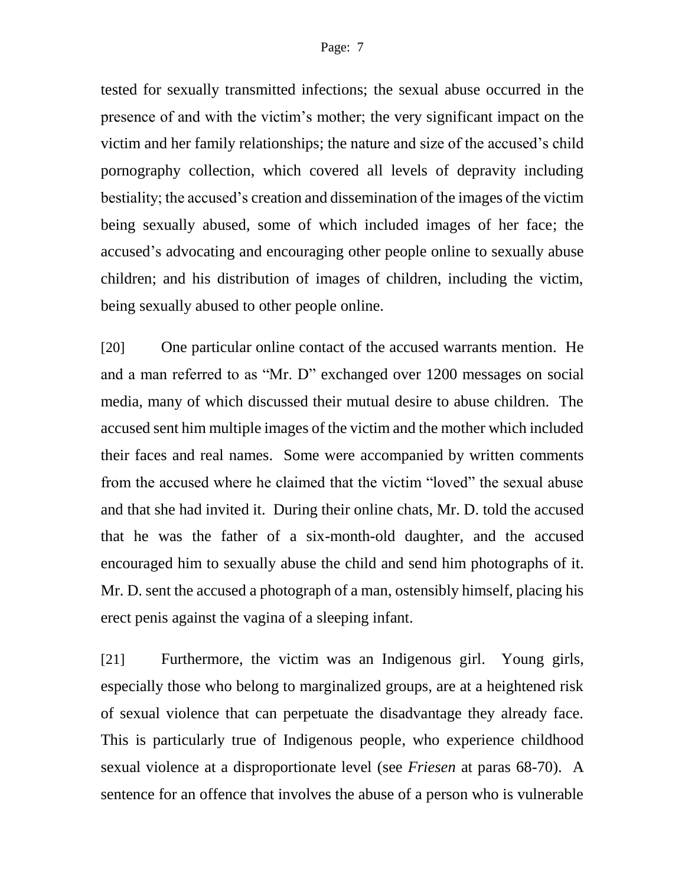tested for sexually transmitted infections; the sexual abuse occurred in the presence of and with the victim's mother; the very significant impact on the victim and her family relationships; the nature and size of the accused's child pornography collection, which covered all levels of depravity including bestiality; the accused's creation and dissemination of the images of the victim being sexually abused, some of which included images of her face; the accused's advocating and encouraging other people online to sexually abuse children; and his distribution of images of children, including the victim, being sexually abused to other people online.

[20] One particular online contact of the accused warrants mention. He and a man referred to as "Mr. D" exchanged over 1200 messages on social media, many of which discussed their mutual desire to abuse children. The accused sent him multiple images of the victim and the mother which included their faces and real names. Some were accompanied by written comments from the accused where he claimed that the victim "loved" the sexual abuse and that she had invited it. During their online chats, Mr. D. told the accused that he was the father of a six-month-old daughter, and the accused encouraged him to sexually abuse the child and send him photographs of it. Mr. D. sent the accused a photograph of a man, ostensibly himself, placing his erect penis against the vagina of a sleeping infant.

[21] Furthermore, the victim was an Indigenous girl. Young girls, especially those who belong to marginalized groups, are at a heightened risk of sexual violence that can perpetuate the disadvantage they already face. This is particularly true of Indigenous people, who experience childhood sexual violence at a disproportionate level (see *Friesen* at paras 68-70). A sentence for an offence that involves the abuse of a person who is vulnerable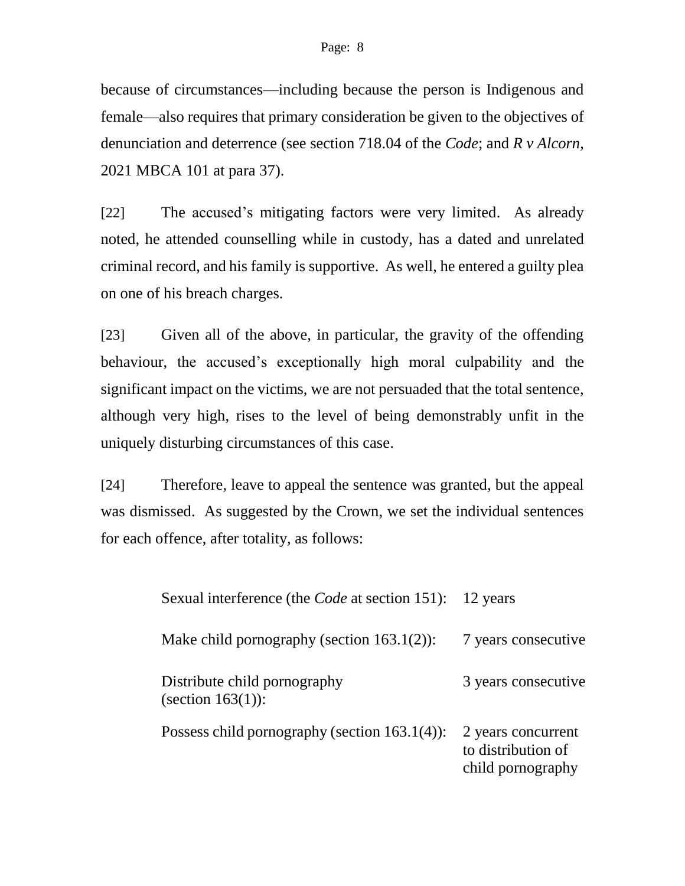because of circumstances—including because the person is Indigenous and female—also requires that primary consideration be given to the objectives of denunciation and deterrence (see section 718.04 of the *Code*; and *R v Alcorn*, 2021 MBCA 101 at para 37).

[22] The accused's mitigating factors were very limited. As already noted, he attended counselling while in custody, has a dated and unrelated criminal record, and his family is supportive. As well, he entered a guilty plea on one of his breach charges.

[23] Given all of the above, in particular, the gravity of the offending behaviour, the accused's exceptionally high moral culpability and the significant impact on the victims, we are not persuaded that the total sentence, although very high, rises to the level of being demonstrably unfit in the uniquely disturbing circumstances of this case.

[24] Therefore, leave to appeal the sentence was granted, but the appeal was dismissed. As suggested by the Crown, we set the individual sentences for each offence, after totality, as follows:

| Sexual interference (the <i>Code</i> at section 151): | 12 years                                                      |
|-------------------------------------------------------|---------------------------------------------------------------|
| Make child pornography (section $163.1(2)$ ):         | 7 years consecutive                                           |
| Distribute child pornography<br>(section $163(1)$ ):  | 3 years consecutive                                           |
| Possess child pornography (section $163.1(4)$ ):      | 2 years concurrent<br>to distribution of<br>child pornography |